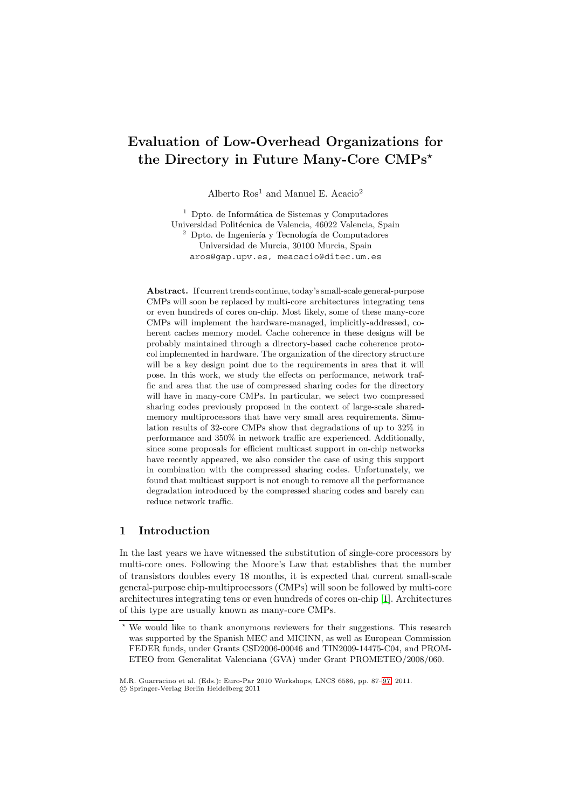# **Evaluation of Low-Overhead Organizations for the Directory in Future Many-Core CMPs***-*

Alberto  $\text{Ros}^1$  and Manuel E. Acacio<sup>2</sup>

 $1$  Dpto. de Informática de Sistemas y Computadores Universidad Politécnica de Valencia, 46022 Valencia, Spain  $2$  Dpto. de Ingeniería y Tecnología de Computadores Universidad de Murcia, 30100 Murcia, Spain aros@gap.upv.es, meacacio@ditec.um.es

**Abstract.** If current trends continue, today's small-scale general-purpose CMPs will soon be replaced by multi-core architectures integrating tens or even hundreds of cores on-chip. Most likely, some of these many-core CMPs will implement the hardware-managed, implicitly-addressed, coherent caches memory model. Cache coherence in these designs will be probably maintained through a directory-based cache coherence protocol implemented in hardware. The organization of the directory structure will be a key design point due to the requirements in area that it will pose. In this work, we study the effects on performance, network traffic and area that the use of compressed sharing codes for the directory will have in many-core CMPs. In particular, we select two compressed sharing codes previously proposed in the context of large-scale sharedmemory multiprocessors that have very small area requirements. Simulation results of 32-core CMPs show that degradations of up to 32% in performance and 350% in network traffic are experienced. Additionally, since some proposals for efficient multicast support in on-chip networks have recently appeared, we also consider the case of using this support in combination with the compressed sharing codes. Unfortunately, we found that multicast support is not enough to remove all the performance degradation introduced by the compressed sharing codes and barely can reduce network traffic.

# **1 Introduction**

In the last years we have witnessed the substitution of single-core processors by multi-core ones. Following the Moore's Law that establishes that the number of transistors doubles every 18 months, it is expected that current small-scale general-purpose chip-multiprocessors (CMPs) will soon be followed by multi-core architectures integrating tens or even hundreds of cores on-chip [\[1\]](#page-9-0). Architectures of this type are usually known as many-core CMPs.

 $\star$ We would like to thank anonymous reviewers for their suggestions. This research was supported by the Spanish MEC and MICINN, as well as European Commission FEDER funds, under Grants CSD2006-00046 and TIN2009-14475-C04, and PROM-ETEO from Generalitat Valenciana (GVA) under Grant PROMETEO/2008/060.

M.R. Guarracino et al. (Eds.): Euro-Par 2010 Workshops, LNCS 6586, pp. 87[–97,](#page-9-1) 2011.

<sup>-</sup>c Springer-Verlag Berlin Heidelberg 2011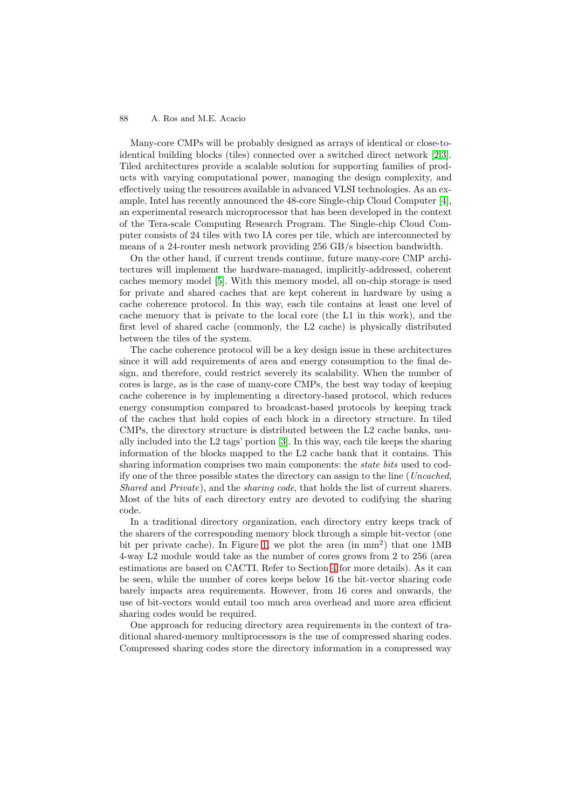Many-core CMPs will be probably designed as arrays of identical or close-toidentical building blocks (tiles) connected over a switched direct network [\[2,](#page-9-2)[3\]](#page-9-3). Tiled architectures provide a scalable solution for supporting families of products with varying computational power, managing the design complexity, and effectively using the resources available in advanced VLSI technologies. As an example, Intel has recently announced the 48-core Single-chip Cloud Computer [\[4\]](#page-9-4), an experimental research microprocessor that has been developed in the context of the Tera-scale Computing Research Program. The Single-chip Cloud Computer consists of 24 tiles with two IA cores per tile, which are interconnected by means of a 24-router mesh network providing 256 GB/s bisection bandwidth.

On the other hand, if current trends continue, future many-core CMP architectures will implement the hardware-managed, implicitly-addressed, coherent caches memory model [\[5\]](#page-9-5). With this memory model, all on-chip storage is used for private and shared caches that are kept coherent in hardware by using a cache coherence protocol. In this way, each tile contains at least one level of cache memory that is private to the local core (the L1 in this work), and the first level of shared cache (commonly, the L2 cache) is physically distributed between the tiles of the system.

The cache coherence protocol will be a key design issue in these architectures since it will add requirements of area and energy consumption to the final design, and therefore, could restrict severely its scalability. When the number of cores is large, as is the case of many-core CMPs, the best way today of keeping cache coherence is by implementing a directory-based protocol, which reduces energy consumption compared to broadcast-based protocols by keeping track of the caches that hold copies of each block in a directory structure. In tiled CMPs, the directory structure is distributed between the L2 cache banks, usually included into the L2 tags' portion [\[3\]](#page-9-3). In this way, each tile keeps the sharing information of the blocks mapped to the L2 cache bank that it contains. This sharing information comprises two main components: the *state bits* used to codify one of the three possible states the directory can assign to the line (*Uncached*, *Shared* and *Private*), and the *sharing code*, that holds the list of current sharers. Most of the bits of each directory entry are devoted to codifying the sharing code.

In a traditional directory organization, each directory entry keeps track of the sharers of the corresponding memory block through a simple bit-vector (one bit per private cache). In Figure [1,](#page-2-0) we plot the area (in mm<sup>2</sup>) that one 1MB 4-way L2 module would take as the number of cores grows from 2 to 256 (area estimations are based on CACTI. Refer to Section [4](#page-4-0) for more details). As it can be seen, while the number of cores keeps below 16 the bit-vector sharing code barely impacts area requirements. However, from 16 cores and onwards, the use of bit-vectors would entail too much area overhead and more area efficient sharing codes would be required.

One approach for reducing directory area requirements in the context of traditional shared-memory multiprocessors is the use of compressed sharing codes. Compressed sharing codes store the directory information in a compressed way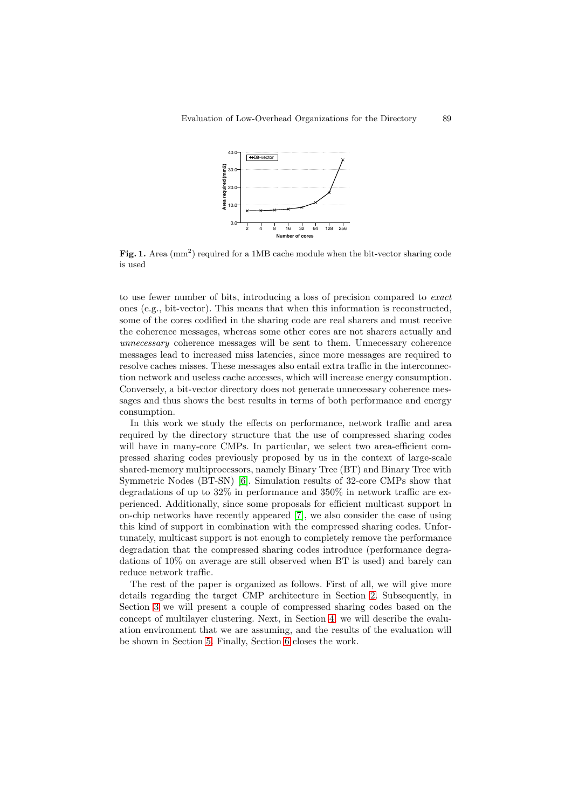<span id="page-2-0"></span>

Fig. 1. Area  $\text{(mm}^2)$  required for a 1MB cache module when the bit-vector sharing code is used

to use fewer number of bits, introducing a loss of precision compared to *exact* ones (e.g., bit-vector). This means that when this information is reconstructed, some of the cores codified in the sharing code are real sharers and must receive the coherence messages, whereas some other cores are not sharers actually and *unnecessary* coherence messages will be sent to them. Unnecessary coherence messages lead to increased miss latencies, since more messages are required to resolve caches misses. These messages also entail extra traffic in the interconnection network and useless cache accesses, which will increase energy consumption. Conversely, a bit-vector directory does not generate unnecessary coherence messages and thus shows the best results in terms of both performance and energy consumption.

In this work we study the effects on performance, network traffic and area required by the directory structure that the use of compressed sharing codes will have in many-core CMPs. In particular, we select two area-efficient compressed sharing codes previously proposed by us in the context of large-scale shared-memory multiprocessors, namely Binary Tree (BT) and Binary Tree with Symmetric Nodes (BT-SN) [\[6\]](#page-9-6). Simulation results of 32-core CMPs show that degradations of up to 32% in performance and 350% in network traffic are experienced. Additionally, since some proposals for efficient multicast support in on-chip networks have recently appeared [\[7\]](#page-9-7), we also consider the case of using this kind of support in combination with the compressed sharing codes. Unfortunately, multicast support is not enough to completely remove the performance degradation that the compressed sharing codes introduce (performance degradations of 10% on average are still observed when BT is used) and barely can reduce network traffic.

The rest of the paper is organized as follows. First of all, we will give more details regarding the target CMP architecture in Section [2.](#page-3-0) Subsequently, in Section [3](#page-3-1) we will present a couple of compressed sharing codes based on the concept of multilayer clustering. Next, in Section [4,](#page-4-0) we will describe the evaluation environment that we are assuming, and the results of the evaluation will be shown in Section [5.](#page-5-0) Finally, Section [6](#page-8-0) closes the work.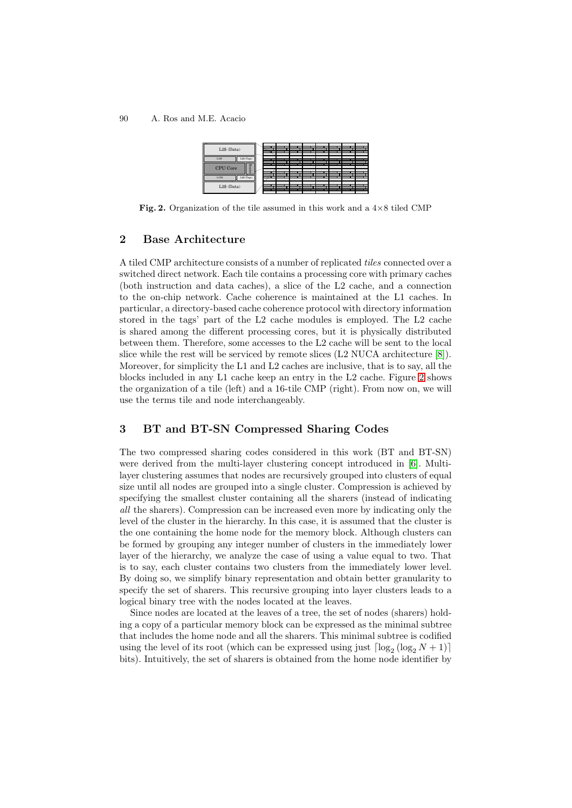<span id="page-3-2"></span>

**Fig. 2.** Organization of the tile assumed in this work and a 4*×*8 tiled CMP

# <span id="page-3-0"></span>**2 Base Architecture**

A tiled CMP architecture consists of a number of replicated *tiles* connected over a switched direct network. Each tile contains a processing core with primary caches (both instruction and data caches), a slice of the L2 cache, and a connection to the on-chip network. Cache coherence is maintained at the L1 caches. In particular, a directory-based cache coherence protocol with directory information stored in the tags' part of the L2 cache modules is employed. The L2 cache is shared among the different processing cores, but it is physically distributed between them. Therefore, some accesses to the L2 cache will be sent to the local slice while the rest will be serviced by remote slices (L2 NUCA architecture [\[8\]](#page-9-8)). Moreover, for simplicity the L1 and L2 caches are inclusive, that is to say, all the blocks included in any L1 cache keep an entry in the L2 cache. Figure [2](#page-3-2) shows the organization of a tile (left) and a 16-tile CMP (right). From now on, we will use the terms tile and node interchangeably.

# <span id="page-3-1"></span>**3 BT and BT-SN Compressed Sharing Codes**

The two compressed sharing codes considered in this work (BT and BT-SN) were derived from the multi-layer clustering concept introduced in [\[6\]](#page-9-6). Multilayer clustering assumes that nodes are recursively grouped into clusters of equal size until all nodes are grouped into a single cluster. Compression is achieved by specifying the smallest cluster containing all the sharers (instead of indicating *all* the sharers). Compression can be increased even more by indicating only the level of the cluster in the hierarchy. In this case, it is assumed that the cluster is the one containing the home node for the memory block. Although clusters can be formed by grouping any integer number of clusters in the immediately lower layer of the hierarchy, we analyze the case of using a value equal to two. That is to say, each cluster contains two clusters from the immediately lower level. By doing so, we simplify binary representation and obtain better granularity to specify the set of sharers. This recursive grouping into layer clusters leads to a logical binary tree with the nodes located at the leaves.

Since nodes are located at the leaves of a tree, the set of nodes (sharers) holding a copy of a particular memory block can be expressed as the minimal subtree that includes the home node and all the sharers. This minimal subtree is codified using the level of its root (which can be expressed using just  $\lceil \log_2 (\log_2 N + 1) \rceil$ bits). Intuitively, the set of sharers is obtained from the home node identifier by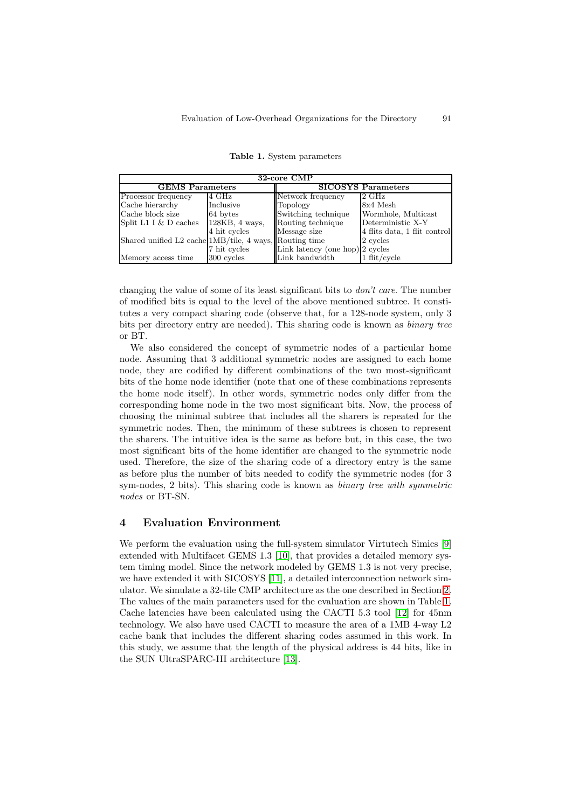<span id="page-4-1"></span>

| 52-core UNIF                                           |                |                                 |                              |
|--------------------------------------------------------|----------------|---------------------------------|------------------------------|
| <b>GEMS</b> Parameters                                 |                | <b>SICOSYS</b> Parameters       |                              |
| Processor frequency                                    | l4 GHz         | Network frequency               | $2 \text{ GHz}$              |
| Cache hierarchy                                        | Inclusive      | Topology                        | 8x4 Mesh                     |
| Cache block size                                       | 64 bytes       | Switching technique             | Wormhole, Multicast          |
| Split L1 I & D caches                                  | 128KB, 4 ways, | Routing technique               | Deterministic X-Y            |
|                                                        | 4 hit cycles   | Message size                    | 4 flits data, 1 flit control |
| Shared unified L2 cache 1MB/tile, 4 ways, Routing time |                |                                 | 2 cycles                     |
|                                                        | 7 hit cycles   | Link latency (one hop) 2 cycles |                              |
| Memory access time                                     | 300 cycles     | Link bandwidth                  | $1$ flit/cycle               |

**Table 1.** System parameters

changing the value of some of its least significant bits to *don't care*. The number of modified bits is equal to the level of the above mentioned subtree. It constitutes a very compact sharing code (observe that, for a 128-node system, only 3 bits per directory entry are needed). This sharing code is known as *binary tree* or BT.

We also considered the concept of symmetric nodes of a particular home node. Assuming that 3 additional symmetric nodes are assigned to each home node, they are codified by different combinations of the two most-significant bits of the home node identifier (note that one of these combinations represents the home node itself). In other words, symmetric nodes only differ from the corresponding home node in the two most significant bits. Now, the process of choosing the minimal subtree that includes all the sharers is repeated for the symmetric nodes. Then, the minimum of these subtrees is chosen to represent the sharers. The intuitive idea is the same as before but, in this case, the two most significant bits of the home identifier are changed to the symmetric node used. Therefore, the size of the sharing code of a directory entry is the same as before plus the number of bits needed to codify the symmetric nodes (for 3 sym-nodes, 2 bits). This sharing code is known as *binary tree with symmetric nodes* or BT-SN.

# <span id="page-4-0"></span>**4 Evaluation Environment**

We perform the evaluation using the full-system simulator Virtutech Simics [\[9\]](#page-9-9) extended with Multifacet GEMS 1.3 [\[10\]](#page-9-10), that provides a detailed memory system timing model. Since the network modeled by GEMS 1.3 is not very precise, we have extended it with SICOSYS [\[11\]](#page-9-11), a detailed interconnection network simulator. We simulate a 32-tile CMP architecture as the one described in Section [2.](#page-3-0) The values of the main parameters used for the evaluation are shown in Table [1.](#page-4-1) Cache latencies have been calculated using the CACTI 5.3 tool [\[12\]](#page-9-12) for 45nm technology. We also have used CACTI to measure the area of a 1MB 4-way L2 cache bank that includes the different sharing codes assumed in this work. In this study, we assume that the length of the physical address is 44 bits, like in the SUN UltraSPARC-III architecture [\[13\]](#page-9-13).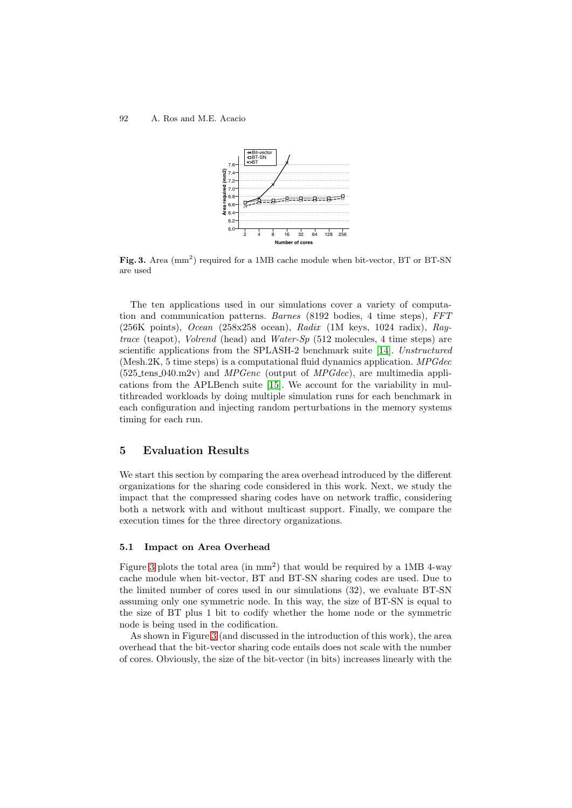<span id="page-5-1"></span>

Fig. 3. Area (mm<sup>2</sup>) required for a 1MB cache module when bit-vector, BT or BT-SN are used

The ten applications used in our simulations cover a variety of computation and communication patterns. *Barnes* (8192 bodies, 4 time steps), *FFT* (256K points), *Ocean* (258x258 ocean), *Radix* (1M keys, 1024 radix), *Raytrace* (teapot), *Volrend* (head) and *Water-Sp* (512 molecules, 4 time steps) are scientific applications from the SPLASH-2 benchmark suite [\[14\]](#page-10-0). *Unstructured* (Mesh.2K, 5 time steps) is a computational fluid dynamics application. *MPGdec* (525 tens 040.m2v) and *MPGenc* (output of *MPGdec*), are multimedia applications from the APLBench suite [\[15\]](#page-10-1). We account for the variability in multithreaded workloads by doing multiple simulation runs for each benchmark in each configuration and injecting random perturbations in the memory systems timing for each run.

## <span id="page-5-0"></span>**5 Evaluation Results**

We start this section by comparing the area overhead introduced by the different organizations for the sharing code considered in this work. Next, we study the impact that the compressed sharing codes have on network traffic, considering both a network with and without multicast support. Finally, we compare the execution times for the three directory organizations.

## **5.1 Impact on Area Overhead**

Figure [3](#page-5-1) plots the total area (in  $mm<sup>2</sup>$ ) that would be required by a 1MB 4-way cache module when bit-vector, BT and BT-SN sharing codes are used. Due to the limited number of cores used in our simulations (32), we evaluate BT-SN assuming only one symmetric node. In this way, the size of BT-SN is equal to the size of BT plus 1 bit to codify whether the home node or the symmetric node is being used in the codification.

As shown in Figure [3](#page-5-1) (and discussed in the introduction of this work), the area overhead that the bit-vector sharing code entails does not scale with the number of cores. Obviously, the size of the bit-vector (in bits) increases linearly with the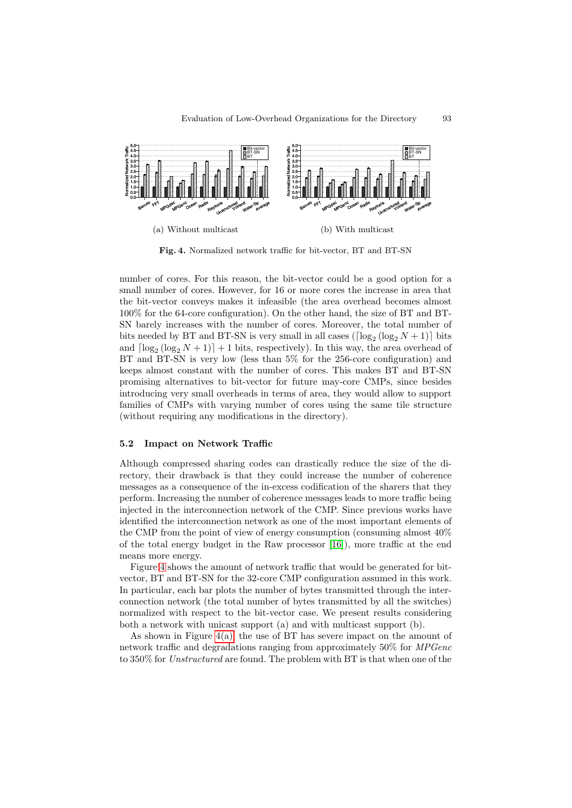<span id="page-6-1"></span><span id="page-6-0"></span>

<span id="page-6-2"></span>**Fig. 4.** Normalized network traffic for bit-vector, BT and BT-SN

number of cores. For this reason, the bit-vector could be a good option for a small number of cores. However, for 16 or more cores the increase in area that the bit-vector conveys makes it infeasible (the area overhead becomes almost 100% for the 64-core configuration). On the other hand, the size of BT and BT-SN barely increases with the number of cores. Moreover, the total number of bits needed by BT and BT-SN is very small in all cases ( $\lceil \log_2 (\log_2 N + 1) \rceil$  bits and  $\lceil \log_2 (\log_2 N + 1) \rceil + 1$  bits, respectively). In this way, the area overhead of BT and BT-SN is very low (less than 5% for the 256-core configuration) and keeps almost constant with the number of cores. This makes BT and BT-SN promising alternatives to bit-vector for future may-core CMPs, since besides introducing very small overheads in terms of area, they would allow to support families of CMPs with varying number of cores using the same tile structure (without requiring any modifications in the directory).

## **5.2 Impact on Network Traffic**

Although compressed sharing codes can drastically reduce the size of the directory, their drawback is that they could increase the number of coherence messages as a consequence of the in-excess codification of the sharers that they perform. Increasing the number of coherence messages leads to more traffic being injected in the interconnection network of the CMP. Since previous works have identified the interconnection network as one of the most important elements of the CMP from the point of view of energy consumption (consuming almost 40% of the total energy budget in the Raw processor [\[16\]](#page-10-2)), more traffic at the end means more energy.

Figure [4](#page-6-0) shows the amount of network traffic that would be generated for bitvector, BT and BT-SN for the 32-core CMP configuration assumed in this work. In particular, each bar plots the number of bytes transmitted through the interconnection network (the total number of bytes transmitted by all the switches) normalized with respect to the bit-vector case. We present results considering both a network with unicast support (a) and with multicast support (b).

As shown in Figure  $4(a)$ , the use of BT has severe impact on the amount of network traffic and degradations ranging from approximately 50% for *MPGenc* to 350% for *Unstructured* are found. The problem with BT is that when one of the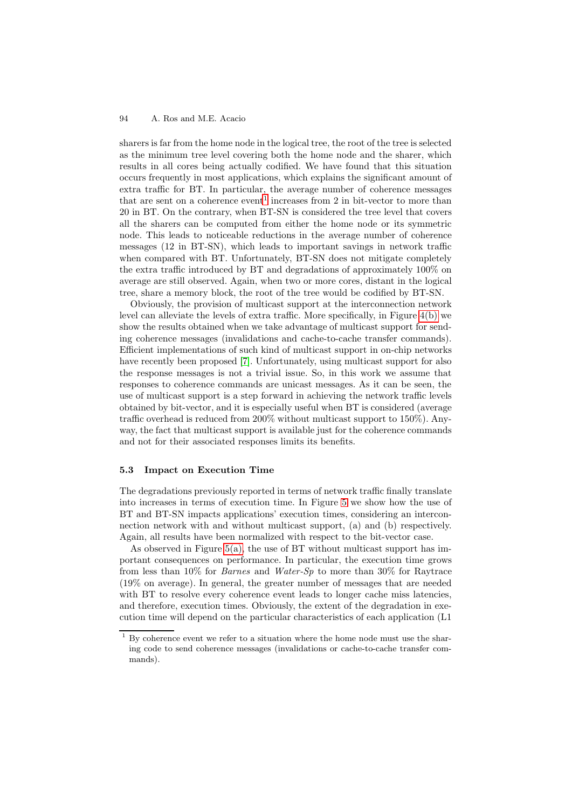sharers is far from the home node in the logical tree, the root of the tree is selected as the minimum tree level covering both the home node and the sharer, which results in all cores being actually codified. We have found that this situation occurs frequently in most applications, which explains the significant amount of extra traffic for BT. In particular, the average number of coherence messages that are sent on a coherence event<sup>[1](#page-7-0)</sup> increases from 2 in bit-vector to more than 20 in BT. On the contrary, when BT-SN is considered the tree level that covers all the sharers can be computed from either the home node or its symmetric node. This leads to noticeable reductions in the average number of coherence messages (12 in BT-SN), which leads to important savings in network traffic when compared with BT. Unfortunately, BT-SN does not mitigate completely the extra traffic introduced by BT and degradations of approximately 100% on average are still observed. Again, when two or more cores, distant in the logical tree, share a memory block, the root of the tree would be codified by BT-SN.

Obviously, the provision of multicast support at the interconnection network level can alleviate the levels of extra traffic. More specifically, in Figure [4\(b\)](#page-6-2) we show the results obtained when we take advantage of multicast support for sending coherence messages (invalidations and cache-to-cache transfer commands). Efficient implementations of such kind of multicast support in on-chip networks have recently been proposed [\[7\]](#page-9-7). Unfortunately, using multicast support for also the response messages is not a trivial issue. So, in this work we assume that responses to coherence commands are unicast messages. As it can be seen, the use of multicast support is a step forward in achieving the network traffic levels obtained by bit-vector, and it is especially useful when BT is considered (average traffic overhead is reduced from 200% without multicast support to 150%). Anyway, the fact that multicast support is available just for the coherence commands and not for their associated responses limits its benefits.

## **5.3 Impact on Execution Time**

The degradations previously reported in terms of network traffic finally translate into increases in terms of execution time. In Figure [5](#page-8-1) we show how the use of BT and BT-SN impacts applications' execution times, considering an interconnection network with and without multicast support, (a) and (b) respectively. Again, all results have been normalized with respect to the bit-vector case.

As observed in Figure [5\(a\),](#page-8-2) the use of BT without multicast support has important consequences on performance. In particular, the execution time grows from less than 10% for *Barnes* and *Water-Sp* to more than 30% for Raytrace (19% on average). In general, the greater number of messages that are needed with BT to resolve every coherence event leads to longer cache miss latencies, and therefore, execution times. Obviously, the extent of the degradation in execution time will depend on the particular characteristics of each application (L1

<span id="page-7-0"></span><sup>1</sup> By coherence event we refer to a situation where the home node must use the sharing code to send coherence messages (invalidations or cache-to-cache transfer commands).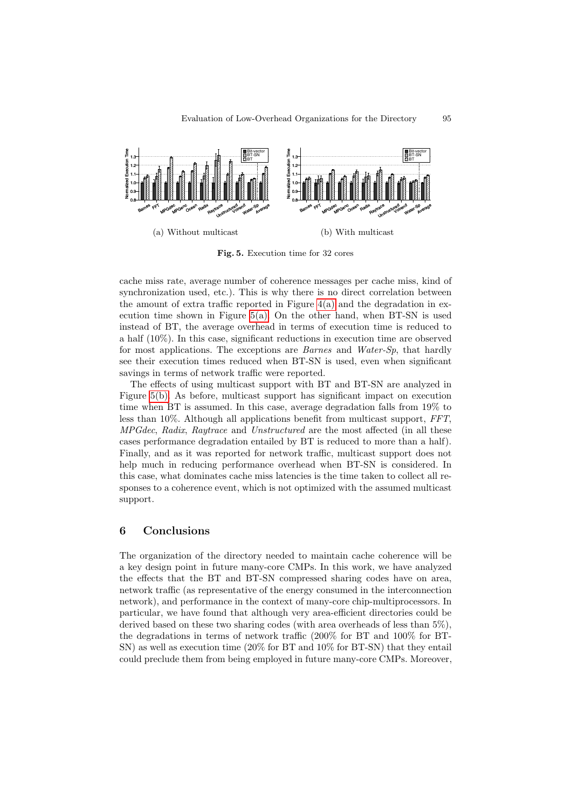<span id="page-8-2"></span><span id="page-8-1"></span>

<span id="page-8-3"></span>**Fig. 5.** Execution time for 32 cores

cache miss rate, average number of coherence messages per cache miss, kind of synchronization used, etc.). This is why there is no direct correlation between the amount of extra traffic reported in Figure  $4(a)$  and the degradation in execution time shown in Figure  $5(a)$ . On the other hand, when BT-SN is used instead of BT, the average overhead in terms of execution time is reduced to a half (10%). In this case, significant reductions in execution time are observed for most applications. The exceptions are *Barnes* and *Water-Sp*, that hardly see their execution times reduced when BT-SN is used, even when significant savings in terms of network traffic were reported.

The effects of using multicast support with BT and BT-SN are analyzed in Figure [5\(b\).](#page-8-3) As before, multicast support has significant impact on execution time when BT is assumed. In this case, average degradation falls from 19% to less than 10%. Although all applications benefit from multicast support, *FFT*, *MPGdec*, *Radix*, *Raytrace* and *Unstructured* are the most affected (in all these cases performance degradation entailed by BT is reduced to more than a half). Finally, and as it was reported for network traffic, multicast support does not help much in reducing performance overhead when BT-SN is considered. In this case, what dominates cache miss latencies is the time taken to collect all responses to a coherence event, which is not optimized with the assumed multicast support.

# <span id="page-8-0"></span>**6 Conclusions**

The organization of the directory needed to maintain cache coherence will be a key design point in future many-core CMPs. In this work, we have analyzed the effects that the BT and BT-SN compressed sharing codes have on area, network traffic (as representative of the energy consumed in the interconnection network), and performance in the context of many-core chip-multiprocessors. In particular, we have found that although very area-efficient directories could be derived based on these two sharing codes (with area overheads of less than 5%), the degradations in terms of network traffic (200% for BT and 100% for BT-SN) as well as execution time (20% for BT and 10% for BT-SN) that they entail could preclude them from being employed in future many-core CMPs. Moreover,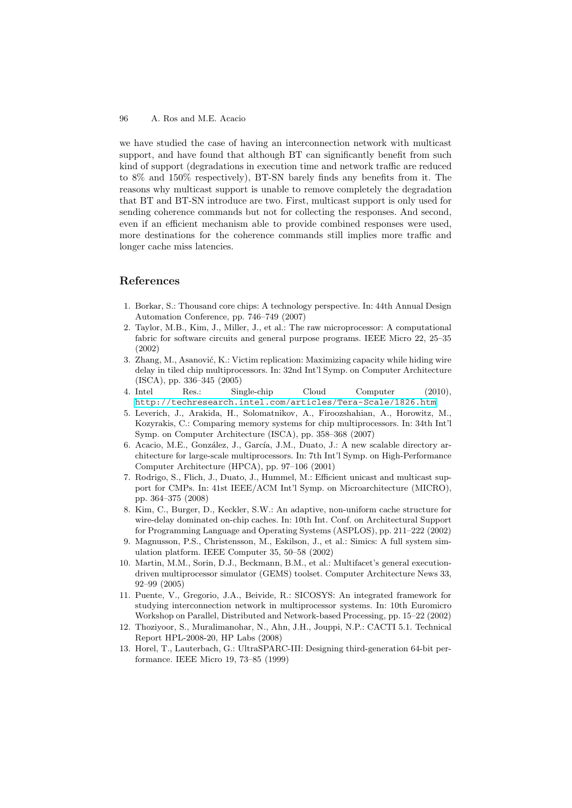we have studied the case of having an interconnection network with multicast support, and have found that although BT can significantly benefit from such kind of support (degradations in execution time and network traffic are reduced to 8% and 150% respectively), BT-SN barely finds any benefits from it. The reasons why multicast support is unable to remove completely the degradation that BT and BT-SN introduce are two. First, multicast support is only used for sending coherence commands but not for collecting the responses. And second, even if an efficient mechanism able to provide combined responses were used, more destinations for the coherence commands still implies more traffic and longer cache miss latencies.

# **References**

- <span id="page-9-1"></span><span id="page-9-0"></span>1. Borkar, S.: Thousand core chips: A technology perspective. In: 44th Annual Design Automation Conference, pp. 746–749 (2007)
- <span id="page-9-2"></span>2. Taylor, M.B., Kim, J., Miller, J., et al.: The raw microprocessor: A computational fabric for software circuits and general purpose programs. IEEE Micro 22, 25–35 (2002)
- <span id="page-9-3"></span>3. Zhang, M., Asanović, K.: Victim replication: Maximizing capacity while hiding wire delay in tiled chip multiprocessors. In: 32nd Int'l Symp. on Computer Architecture (ISCA), pp. 336–345 (2005)
- <span id="page-9-4"></span>4. Intel Res.: Single-chip Cloud Computer (2010), <http://techresearch.intel.com/articles/Tera-Scale/1826.htm>
- <span id="page-9-5"></span>5. Leverich, J., Arakida, H., Solomatnikov, A., Firoozshahian, A., Horowitz, M., Kozyrakis, C.: Comparing memory systems for chip multiprocessors. In: 34th Int'l Symp. on Computer Architecture (ISCA), pp. 358–368 (2007)
- <span id="page-9-6"></span>6. Acacio, M.E., González, J., García, J.M., Duato, J.: A new scalable directory architecture for large-scale multiprocessors. In: 7th Int'l Symp. on High-Performance Computer Architecture (HPCA), pp. 97–106 (2001)
- <span id="page-9-7"></span>7. Rodrigo, S., Flich, J., Duato, J., Hummel, M.: Efficient unicast and multicast support for CMPs. In: 41st IEEE/ACM Int'l Symp. on Microarchitecture (MICRO), pp. 364–375 (2008)
- <span id="page-9-8"></span>8. Kim, C., Burger, D., Keckler, S.W.: An adaptive, non-uniform cache structure for wire-delay dominated on-chip caches. In: 10th Int. Conf. on Architectural Support for Programming Language and Operating Systems (ASPLOS), pp. 211–222 (2002)
- <span id="page-9-9"></span>9. Magnusson, P.S., Christensson, M., Eskilson, J., et al.: Simics: A full system simulation platform. IEEE Computer 35, 50–58 (2002)
- <span id="page-9-10"></span>10. Martin, M.M., Sorin, D.J., Beckmann, B.M., et al.: Multifacet's general executiondriven multiprocessor simulator (GEMS) toolset. Computer Architecture News 33, 92–99 (2005)
- <span id="page-9-11"></span>11. Puente, V., Gregorio, J.A., Beivide, R.: SICOSYS: An integrated framework for studying interconnection network in multiprocessor systems. In: 10th Euromicro Workshop on Parallel, Distributed and Network-based Processing, pp. 15–22 (2002)
- <span id="page-9-12"></span>12. Thoziyoor, S., Muralimanohar, N., Ahn, J.H., Jouppi, N.P.: CACTI 5.1. Technical Report HPL-2008-20, HP Labs (2008)
- <span id="page-9-13"></span>13. Horel, T., Lauterbach, G.: UltraSPARC-III: Designing third-generation 64-bit performance. IEEE Micro 19, 73–85 (1999)